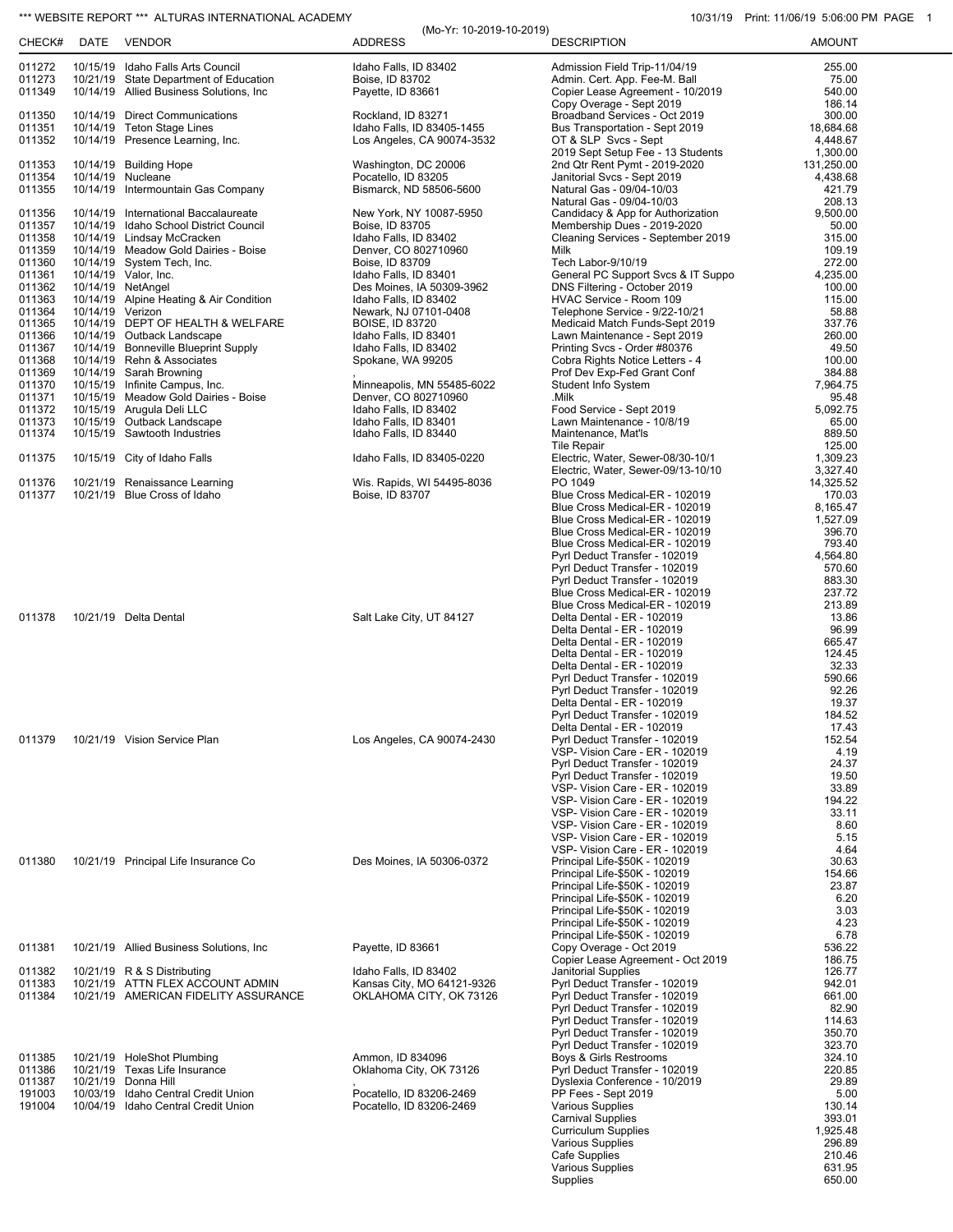## \*\*\* WEBSITE REPORT \*\*\* ALTURAS INTERNATIONAL ACADEMY 10/31/19 Print: 11/06/19 5:06:00 PM PAGE 1

| CHECK#           | DATE             | <b>VENDOR</b>                                                      | (Mo-Yr: 10-2019-10-2019)<br><b>ADDRESS</b>      | <b>DESCRIPTION</b>                                               | <b>AMOUNT</b>         |
|------------------|------------------|--------------------------------------------------------------------|-------------------------------------------------|------------------------------------------------------------------|-----------------------|
| 011272           |                  | 10/15/19 Idaho Falls Arts Council                                  | Idaho Falls, ID 83402                           | Admission Field Trip-11/04/19                                    | 255.00                |
| 011273           |                  | 10/21/19 State Department of Education                             | Boise, ID 83702                                 | Admin. Cert. App. Fee-M. Ball                                    | 75.00                 |
| 011349           |                  | 10/14/19 Allied Business Solutions, Inc                            | Payette, ID 83661                               | Copier Lease Agreement - 10/2019<br>Copy Overage - Sept 2019     | 540.00<br>186.14      |
| 011350           |                  | 10/14/19 Direct Communications                                     | Rockland, ID 83271                              | Broadband Services - Oct 2019                                    | 300.00                |
| 011351           |                  | 10/14/19 Teton Stage Lines                                         | Idaho Falls, ID 83405-1455                      | Bus Transportation - Sept 2019                                   | 18,684.68             |
| 011352           |                  | 10/14/19 Presence Learning, Inc.                                   | Los Angeles, CA 90074-3532                      | OT & SLP Svcs - Sept<br>2019 Sept Setup Fee - 13 Students        | 4,448.67<br>1,300.00  |
| 011353           |                  | 10/14/19 Building Hope                                             | Washington, DC 20006                            | 2nd Qtr Rent Pymt - 2019-2020                                    | 131,250.00            |
| 011354           |                  | 10/14/19 Nucleane                                                  | Pocatello, ID 83205                             | Janitorial Svcs - Sept 2019                                      | 4,438.68              |
| 011355           |                  | 10/14/19 Intermountain Gas Company                                 | Bismarck, ND 58506-5600                         | Natural Gas - 09/04-10/03                                        | 421.79<br>208.13      |
| 011356           |                  | 10/14/19 International Baccalaureate                               | New York, NY 10087-5950                         | Natural Gas - 09/04-10/03<br>Candidacy & App for Authorization   | 9,500.00              |
| 011357           |                  | 10/14/19 Idaho School District Council                             | Boise, ID 83705                                 | Membership Dues - 2019-2020                                      | 50.00                 |
| 011358           |                  | 10/14/19 Lindsay McCracken                                         | Idaho Falls, ID 83402                           | Cleaning Services - September 2019                               | 315.00                |
| 011359<br>011360 |                  | 10/14/19 Meadow Gold Dairies - Boise<br>10/14/19 System Tech, Inc. | Denver, CO 802710960<br>Boise, ID 83709         | Milk<br>Tech Labor-9/10/19                                       | 109.19<br>272.00      |
| 011361           |                  | 10/14/19 Valor, Inc.                                               | Idaho Falls, ID 83401                           | General PC Support Svcs & IT Suppo                               | 4,235.00              |
| 011362           |                  | 10/14/19 NetAngel                                                  | Des Moines, IA 50309-3962                       | DNS Filtering - October 2019                                     | 100.00                |
| 011363           |                  | 10/14/19 Alpine Heating & Air Condition                            | Idaho Falls, ID 83402                           | HVAC Service - Room 109                                          | 115.00                |
| 011364<br>011365 | 10/14/19 Verizon | 10/14/19 DEPT OF HEALTH & WELFARE                                  | Newark, NJ 07101-0408<br><b>BOISE, ID 83720</b> | Telephone Service - 9/22-10/21<br>Medicaid Match Funds-Sept 2019 | 58.88<br>337.76       |
| 011366           |                  | 10/14/19 Outback Landscape                                         | Idaho Falls, ID 83401                           | Lawn Maintenance - Sept 2019                                     | 260.00                |
| 011367           |                  | 10/14/19 Bonneville Blueprint Supply                               | Idaho Falls, ID 83402                           | Printing Svcs - Order #80376                                     | 49.50                 |
| 011368<br>011369 |                  | 10/14/19 Rehn & Associates<br>10/14/19 Sarah Browning              | Spokane, WA 99205                               | Cobra Rights Notice Letters - 4<br>Prof Dev Exp-Fed Grant Conf   | 100.00<br>384.88      |
| 011370           |                  | 10/15/19 Infinite Campus, Inc.                                     | Minneapolis, MN 55485-6022                      | <b>Student Info System</b>                                       | 7,964.75              |
| 011371           |                  | 10/15/19 Meadow Gold Dairies - Boise                               | Denver, CO 802710960                            | .Milk                                                            | 95.48                 |
| 011372           |                  | 10/15/19 Arugula Deli LLC                                          | Idaho Falls, ID 83402                           | Food Service - Sept 2019                                         | 5,092.75              |
| 011373<br>011374 |                  | 10/15/19 Outback Landscape<br>10/15/19 Sawtooth Industries         | Idaho Falls, ID 83401<br>Idaho Falls, ID 83440  | Lawn Maintenance - 10/8/19<br>Maintenance, Mat'ls                | 65.00<br>889.50       |
|                  |                  |                                                                    |                                                 | <b>Tile Repair</b>                                               | 125.00                |
| 011375           |                  | 10/15/19 City of Idaho Falls                                       | Idaho Falls, ID 83405-0220                      | Electric, Water, Sewer-08/30-10/1                                | 1,309.23              |
|                  |                  | 10/21/19 Renaissance Learning                                      | Wis. Rapids, WI 54495-8036                      | Electric, Water, Sewer-09/13-10/10<br>PO 1049                    | 3,327.40<br>14,325.52 |
| 011376<br>011377 |                  | 10/21/19 Blue Cross of Idaho                                       | Boise, ID 83707                                 | Blue Cross Medical-ER - 102019                                   | 170.03                |
|                  |                  |                                                                    |                                                 | Blue Cross Medical-ER - 102019                                   | 8,165.47              |
|                  |                  |                                                                    |                                                 | Blue Cross Medical-ER - 102019                                   | 1,527.09              |
|                  |                  |                                                                    |                                                 | Blue Cross Medical-ER - 102019<br>Blue Cross Medical-ER - 102019 | 396.70<br>793.40      |
|                  |                  |                                                                    |                                                 | Pyrl Deduct Transfer - 102019                                    | 4,564.80              |
|                  |                  |                                                                    |                                                 | Pyrl Deduct Transfer - 102019                                    | 570.60                |
|                  |                  |                                                                    |                                                 | Pyrl Deduct Transfer - 102019<br>Blue Cross Medical-ER - 102019  | 883.30<br>237.72      |
|                  |                  |                                                                    |                                                 | Blue Cross Medical-ER - 102019                                   | 213.89                |
| 011378           |                  | 10/21/19 Delta Dental                                              | Salt Lake City, UT 84127                        | Delta Dental - ER - 102019                                       | 13.86                 |
|                  |                  |                                                                    |                                                 | Delta Dental - ER - 102019                                       | 96.99                 |
|                  |                  |                                                                    |                                                 | Delta Dental - ER - 102019<br>Delta Dental - ER - 102019         | 665.47<br>124.45      |
|                  |                  |                                                                    |                                                 | Delta Dental - ER - 102019                                       | 32.33                 |
|                  |                  |                                                                    |                                                 | Pyrl Deduct Transfer - 102019                                    | 590.66                |
|                  |                  |                                                                    |                                                 | Pyrl Deduct Transfer - 102019<br>Delta Dental - ER - 102019      | 92.26<br>19.37        |
|                  |                  |                                                                    |                                                 | Pyrl Deduct Transfer - 102019                                    | 184.52                |
|                  |                  |                                                                    |                                                 | Delta Dental - ER - 102019                                       | 17.43                 |
| 011379           |                  | 10/21/19 Vision Service Plan                                       | Los Angeles, CA 90074-2430                      | Pyrl Deduct Transfer - 102019<br>VSP- Vision Care - ER - 102019  | 152.54<br>4.19        |
|                  |                  |                                                                    |                                                 | Pyrl Deduct Transfer - 102019                                    | 24.37                 |
|                  |                  |                                                                    |                                                 | Pyrl Deduct Transfer - 102019                                    | 19.50                 |
|                  |                  |                                                                    |                                                 | VSP- Vision Care - ER - 102019                                   | 33.89                 |
|                  |                  |                                                                    |                                                 | VSP- Vision Care - ER - 102019<br>VSP- Vision Care - ER - 102019 | 194.22<br>33.11       |
|                  |                  |                                                                    |                                                 | VSP- Vision Care - ER - 102019                                   | 8.60                  |
|                  |                  |                                                                    |                                                 | VSP- Vision Care - ER - 102019                                   | 5.15                  |
| 011380           |                  | 10/21/19 Principal Life Insurance Co                               | Des Moines, IA 50306-0372                       | VSP- Vision Care - ER - 102019<br>Principal Life-\$50K - 102019  | 4.64<br>30.63         |
|                  |                  |                                                                    |                                                 | Principal Life-\$50K - 102019                                    | 154.66                |
|                  |                  |                                                                    |                                                 | Principal Life-\$50K - 102019                                    | 23.87                 |
|                  |                  |                                                                    |                                                 | Principal Life-\$50K - 102019                                    | 6.20<br>3.03          |
|                  |                  |                                                                    |                                                 | Principal Life-\$50K - 102019<br>Principal Life-\$50K - 102019   | 4.23                  |
|                  |                  |                                                                    |                                                 | Principal Life-\$50K - 102019                                    | 6.78                  |
| 011381           |                  | 10/21/19 Allied Business Solutions, Inc.                           | Payette, ID 83661                               | Copy Overage - Oct 2019                                          | 536.22                |
| 011382           |                  | 10/21/19 R & S Distributing                                        | Idaho Falls, ID 83402                           | Copier Lease Agreement - Oct 2019<br><b>Janitorial Supplies</b>  | 186.75<br>126.77      |
| 011383           |                  | 10/21/19 ATTN FLEX ACCOUNT ADMIN                                   | Kansas City, MO 64121-9326                      | Pyrl Deduct Transfer - 102019                                    | 942.01                |
| 011384           |                  | 10/21/19 AMERICAN FIDELITY ASSURANCE                               | OKLAHOMA CITY, OK 73126                         | Pyrl Deduct Transfer - 102019                                    | 661.00                |
|                  |                  |                                                                    |                                                 | Pyrl Deduct Transfer - 102019<br>Pyrl Deduct Transfer - 102019   | 82.90<br>114.63       |
|                  |                  |                                                                    |                                                 | Pyrl Deduct Transfer - 102019                                    | 350.70                |
|                  |                  |                                                                    |                                                 | Pyrl Deduct Transfer - 102019                                    | 323.70                |
| 011385<br>011386 |                  | 10/21/19 HoleShot Plumbing<br>10/21/19 Texas Life Insurance        | Ammon, ID 834096                                | Boys & Girls Restrooms                                           | 324.10<br>220.85      |
| 011387           |                  | 10/21/19 Donna Hill                                                | Oklahoma City, OK 73126                         | Pyrl Deduct Transfer - 102019<br>Dyslexia Conference - 10/2019   | 29.89                 |
| 191003           |                  | 10/03/19 Idaho Central Credit Union                                | Pocatello, ID 83206-2469                        | PP Fees - Sept 2019                                              | 5.00                  |
| 191004           |                  | 10/04/19 Idaho Central Credit Union                                | Pocatello, ID 83206-2469                        | Various Supplies                                                 | 130.14                |
|                  |                  |                                                                    |                                                 | <b>Carnival Supplies</b><br><b>Curriculum Supplies</b>           | 393.01<br>1,925.48    |
|                  |                  |                                                                    |                                                 | <b>Various Supplies</b>                                          | 296.89                |
|                  |                  |                                                                    |                                                 | Cafe Supplies                                                    | 210.46                |
|                  |                  |                                                                    |                                                 | Various Supplies<br>Supplies                                     | 631.95<br>650.00      |
|                  |                  |                                                                    |                                                 |                                                                  |                       |